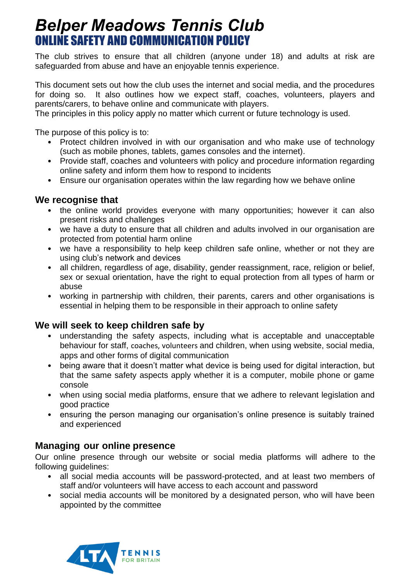# *Belper Meadows Tennis Club* ONLINE SAFETY AND COMMUNICATION POLICY

The club strives to ensure that all children (anyone under 18) and adults at risk are safeguarded from abuse and have an enjoyable tennis experience.

This document sets out how the club uses the internet and social media, and the procedures for doing so. It also outlines how we expect staff, coaches, volunteers, players and parents/carers, to behave online and communicate with players.

The principles in this policy apply no matter which current or future technology is used.

The purpose of this policy is to:

- Protect children involved in with our organisation and who make use of technology (such as mobile phones, tablets, games consoles and the internet).
- Provide staff, coaches and volunteers with policy and procedure information regarding online safety and inform them how to respond to incidents
- Ensure our organisation operates within the law regarding how we behave online

## **We recognise that**

- the online world provides everyone with many opportunities; however it can also present risks and challenges
- we have a duty to ensure that all children and adults involved in our organisation are protected from potential harm online
- we have a responsibility to help keep children safe online, whether or not they are using club's network and devices
- all children, regardless of age, disability, gender reassignment, race, religion or belief, sex or sexual orientation, have the right to equal protection from all types of harm or abuse
- working in partnership with children, their parents, carers and other organisations is essential in helping them to be responsible in their approach to online safety

## **We will seek to keep children safe by**

- understanding the safety aspects, including what is acceptable and unacceptable behaviour for staff, coaches, volunteers and children, when using website, social media, apps and other forms of digital communication
- being aware that it doesn't matter what device is being used for digital interaction, but that the same safety aspects apply whether it is a computer, mobile phone or game console
- when using social media platforms, ensure that we adhere to relevant legislation and good practice
- ensuring the person managing our organisation's online presence is suitably trained and experienced

## **Managing our online presence**

Our online presence through our website or social media platforms will adhere to the following guidelines:

- all social media accounts will be password-protected, and at least two members of staff and/or volunteers will have access to each account and password
- social media accounts will be monitored by a designated person, who will have been appointed by the committee

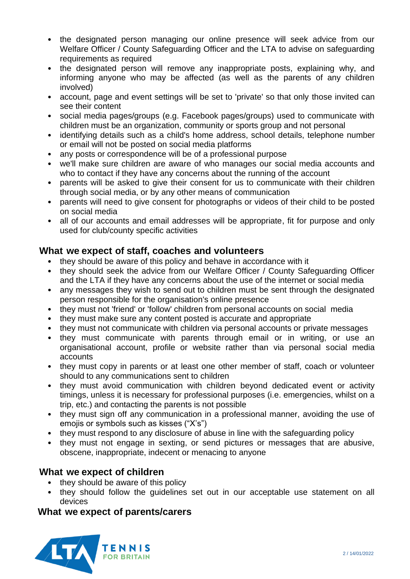- the designated person managing our online presence will seek advice from our Welfare Officer / County Safeguarding Officer and the LTA to advise on safeguarding requirements as required
- the designated person will remove any inappropriate posts, explaining why, and informing anyone who may be affected (as well as the parents of any children involved)
- account, page and event settings will be set to 'private' so that only those invited can see their content
- social media pages/groups (e.g. Facebook pages/groups) used to communicate with children must be an organization, community or sports group and not personal
- identifying details such as a child's home address, school details, telephone number or email will not be posted on social media platforms
- any posts or correspondence will be of a professional purpose
- we'll make sure children are aware of who manages our social media accounts and who to contact if they have any concerns about the running of the account
- parents will be asked to give their consent for us to communicate with their children through social media, or by any other means of communication
- parents will need to give consent for photographs or videos of their child to be posted on social media
- all of our accounts and email addresses will be appropriate, fit for purpose and only used for club/county specific activities

## **What we expect of staff, coaches and volunteers**

- they should be aware of this policy and behave in accordance with it
- they should seek the advice from our Welfare Officer / County Safeguarding Officer and the LTA if they have any concerns about the use of the internet or social media
- any messages they wish to send out to children must be sent through the designated person responsible for the organisation's online presence
- they must not 'friend' or 'follow' children from personal accounts on social media
- they must make sure any content posted is accurate and appropriate
- they must not communicate with children via personal accounts or private messages
- they must communicate with parents through email or in writing, or use an organisational account, profile or website rather than via personal social media accounts
- they must copy in parents or at least one other member of staff, coach or volunteer should to any communications sent to children
- they must avoid communication with children beyond dedicated event or activity timings, unless it is necessary for professional purposes (i.e. emergencies, whilst on a trip, etc.) and contacting the parents is not possible
- they must sign off any communication in a professional manner, avoiding the use of emojis or symbols such as kisses ("X's")
- they must respond to any disclosure of abuse in line with the safeguarding policy
- they must not engage in sexting, or send pictures or messages that are abusive, obscene, inappropriate, indecent or menacing to anyone

## **What we expect of children**

- they should be aware of this policy
- they should follow the guidelines set out in our acceptable use statement on all devices

## **What we expect of parents/carers**